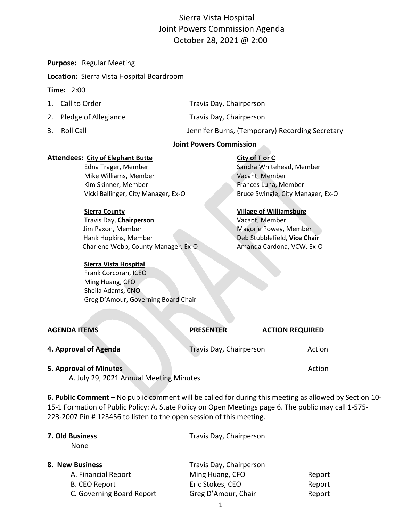# Sierra Vista Hospital Joint Powers Commission Agenda October 28, 2021 @ 2:00

**Purpose:** Regular Meeting

**Location:** Sierra Vista Hospital Boardroom

#### **Time:** 2:00

| 1. Call to Order        | Travis Day, Chairperson                         |
|-------------------------|-------------------------------------------------|
| 2. Pledge of Allegiance | Travis Day, Chairperson                         |
| 3. Roll Call            | Jennifer Burns, (Temporary) Recording Secretary |

#### **Joint Powers Commission**

#### **Attendees:** City of Elephant Butte **City of T or C**

Edna Trager, Member Sandra Whitehead, Member Mike Williams, Member Vacant, Member Kim Skinner, Member Frances Luna, Member Vicki Ballinger, City Manager, Ex-O Bruce Swingle, City Manager, Ex-O

#### **Sierra County Village of Williamsburg**

Travis Day, **Chairperson** Vacant, Member Jim Paxon, Member Magorie Powey, Member Magorie Powey, Member Hank Hopkins, Member Deb Stubblefield, **Vice Chair** Charlene Webb, County Manager, Ex-O Amanda Cardona, VCW, Ex-O

#### **Sierra Vista Hospital**

 Frank Corcoran, ICEO Ming Huang, CFO Sheila Adams, CNO Greg D'Amour, Governing Board Chair

| <b>AGENDA ITEMS</b>    | <b>PRESENTER</b>        | <b>ACTION REQUIRED</b> |
|------------------------|-------------------------|------------------------|
| 4. Approval of Agenda  | Travis Day, Chairperson | Action                 |
| 5. Approval of Minutes |                         | Action                 |

A. July 29, 2021 Annual Meeting Minutes

**6. Public Comment** – No public comment will be called for during this meeting as allowed by Section 10- 15-1 Formation of Public Policy: A. State Policy on Open Meetings page 6. The public may call 1-575- 223-2007 Pin # 123456 to listen to the open session of this meeting.

| 7. Old Business<br>None |                           | Travis Day, Chairperson |        |
|-------------------------|---------------------------|-------------------------|--------|
| 8. New Business         |                           | Travis Day, Chairperson |        |
|                         | A. Financial Report       | Ming Huang, CFO         | Report |
|                         | <b>B. CEO Report</b>      | Eric Stokes, CEO        | Report |
|                         | C. Governing Board Report | Greg D'Amour, Chair     | Report |